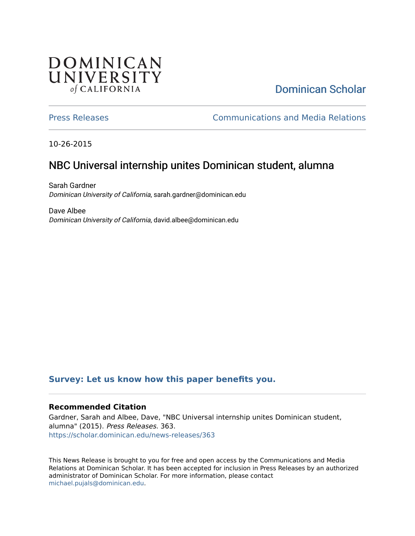## **DOMINICAN** UNIVERSITY of CALIFORNIA

# [Dominican Scholar](https://scholar.dominican.edu/)

[Press Releases](https://scholar.dominican.edu/news-releases) [Communications and Media Relations](https://scholar.dominican.edu/communications-media) 

10-26-2015

# NBC Universal internship unites Dominican student, alumna

Sarah Gardner Dominican University of California, sarah.gardner@dominican.edu

Dave Albee Dominican University of California, david.albee@dominican.edu

#### **[Survey: Let us know how this paper benefits you.](https://dominican.libwizard.com/dominican-scholar-feedback)**

#### **Recommended Citation**

Gardner, Sarah and Albee, Dave, "NBC Universal internship unites Dominican student, alumna" (2015). Press Releases. 363. [https://scholar.dominican.edu/news-releases/363](https://scholar.dominican.edu/news-releases/363?utm_source=scholar.dominican.edu%2Fnews-releases%2F363&utm_medium=PDF&utm_campaign=PDFCoverPages)

This News Release is brought to you for free and open access by the Communications and Media Relations at Dominican Scholar. It has been accepted for inclusion in Press Releases by an authorized administrator of Dominican Scholar. For more information, please contact [michael.pujals@dominican.edu.](mailto:michael.pujals@dominican.edu)